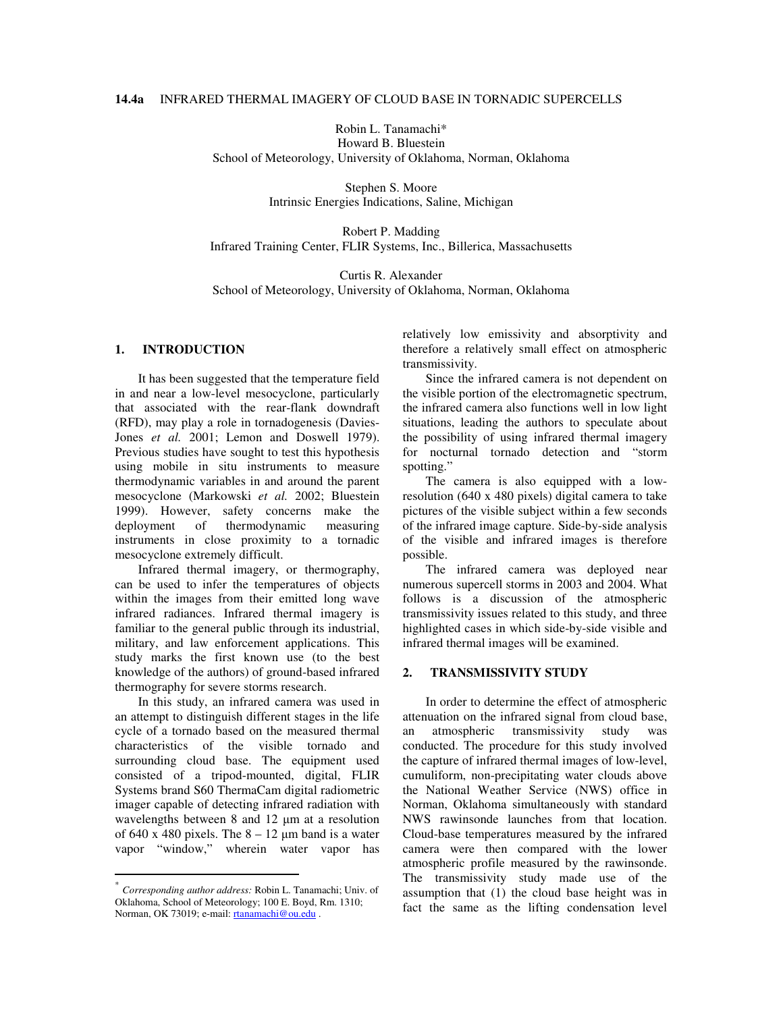# **14.4a** INFRARED THERMAL IMAGERY OF CLOUD BASE IN TORNADIC SUPERCELLS

Robin L. Tanamachi\* Howard B. Bluestein

School of Meteorology, University of Oklahoma, Norman, Oklahoma

Stephen S. Moore Intrinsic Energies Indications, Saline, Michigan

Robert P. Madding Infrared Training Center, FLIR Systems, Inc., Billerica, Massachusetts

Curtis R. Alexander School of Meteorology, University of Oklahoma, Norman, Oklahoma

# **1. INTRODUCTION \***

It has been suggested that the temperature field in and near a low-level mesocyclone, particularly that associated with the rear-flank downdraft (RFD), may play a role in tornadogenesis (Davies-Jones *et al.* 2001; Lemon and Doswell 1979). Previous studies have sought to test this hypothesis using mobile in situ instruments to measure thermodynamic variables in and around the parent mesocyclone (Markowski *et al.* 2002; Bluestein 1999). However, safety concerns make the deployment of thermodynamic measuring instruments in close proximity to a tornadic mesocyclone extremely difficult.

Infrared thermal imagery, or thermography, can be used to infer the temperatures of objects within the images from their emitted long wave infrared radiances. Infrared thermal imagery is familiar to the general public through its industrial, military, and law enforcement applications. This study marks the first known use (to the best knowledge of the authors) of ground-based infrared thermography for severe storms research.

In this study, an infrared camera was used in an attempt to distinguish different stages in the life cycle of a tornado based on the measured thermal characteristics of the visible tornado and surrounding cloud base. The equipment used consisted of a tripod-mounted, digital, FLIR Systems brand S60 ThermaCam digital radiometric imager capable of detecting infrared radiation with wavelengths between 8 and 12 µm at a resolution of 640 x 480 pixels. The  $8 - 12 \mu m$  band is a water vapor "window," wherein water vapor has

relatively low emissivity and absorptivity and therefore a relatively small effect on atmospheric transmissivity.

Since the infrared camera is not dependent on the visible portion of the electromagnetic spectrum, the infrared camera also functions well in low light situations, leading the authors to speculate about the possibility of using infrared thermal imagery for nocturnal tornado detection and "storm spotting."

The camera is also equipped with a lowresolution (640 x 480 pixels) digital camera to take pictures of the visible subject within a few seconds of the infrared image capture. Side-by-side analysis of the visible and infrared images is therefore possible.

The infrared camera was deployed near numerous supercell storms in 2003 and 2004. What follows is a discussion of the atmospheric transmissivity issues related to this study, and three highlighted cases in which side-by-side visible and infrared thermal images will be examined.

## **2. TRANSMISSIVITY STUDY**

In order to determine the effect of atmospheric attenuation on the infrared signal from cloud base, an atmospheric transmissivity study was conducted. The procedure for this study involved the capture of infrared thermal images of low-level, cumuliform, non-precipitating water clouds above the National Weather Service (NWS) office in Norman, Oklahoma simultaneously with standard NWS rawinsonde launches from that location. Cloud-base temperatures measured by the infrared camera were then compared with the lower atmospheric profile measured by the rawinsonde. The transmissivity study made use of the assumption that (1) the cloud base height was in fact the same as the lifting condensation level

<sup>\*</sup> *Corresponding author address:* Robin L. Tanamachi; Univ. of Oklahoma, School of Meteorology; 100 E. Boyd, Rm. 1310; Norman, OK 73019; e-mail: rtanamachi@ou.edu .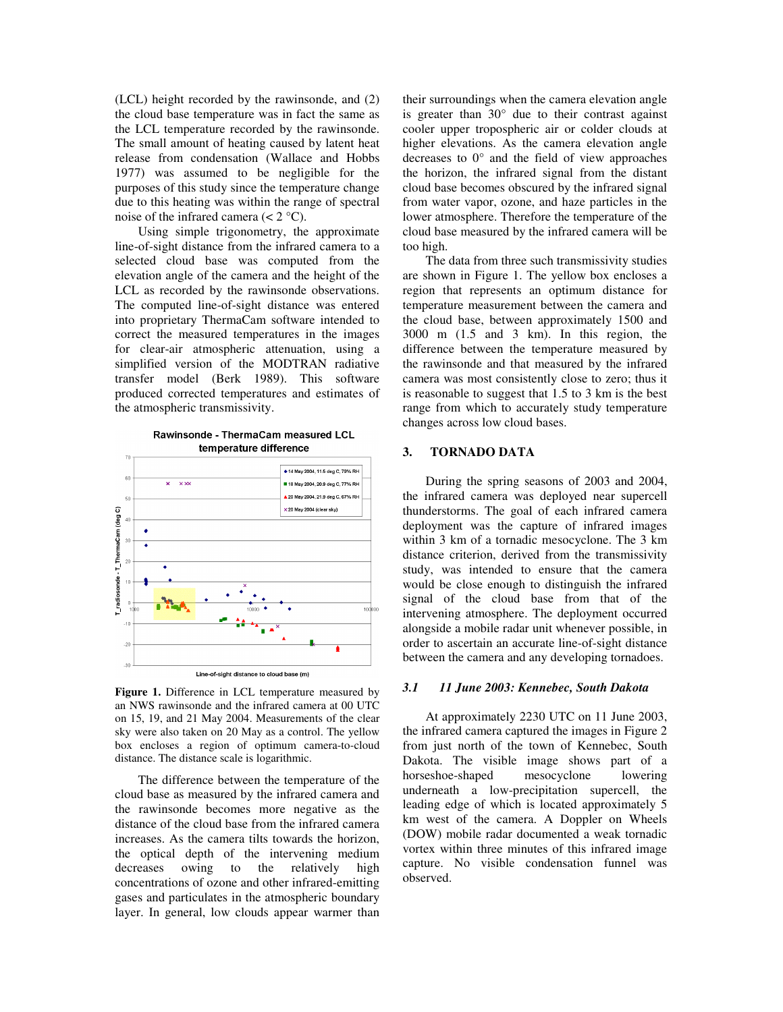(LCL) height recorded by the rawinsonde, and (2) the cloud base temperature was in fact the same as the LCL temperature recorded by the rawinsonde. The small amount of heating caused by latent heat release from condensation (Wallace and Hobbs 1977) was assumed to be negligible for the purposes of this study since the temperature change due to this heating was within the range of spectral noise of the infrared camera  $(< 2 °C)$ .

Using simple trigonometry, the approximate line-of-sight distance from the infrared camera to a selected cloud base was computed from the elevation angle of the camera and the height of the LCL as recorded by the rawinsonde observations. The computed line-of-sight distance was entered into proprietary ThermaCam software intended to correct the measured temperatures in the images for clear-air atmospheric attenuation, using a simplified version of the MODTRAN radiative transfer model (Berk 1989). This software produced corrected temperatures and estimates of the atmospheric transmissivity.



**Figure 1.** Difference in LCL temperature measured by an NWS rawinsonde and the infrared camera at 00 UTC on 15, 19, and 21 May 2004. Measurements of the clear sky were also taken on 20 May as a control. The yellow box encloses a region of optimum camera-to-cloud distance. The distance scale is logarithmic.

The difference between the temperature of the cloud base as measured by the infrared camera and the rawinsonde becomes more negative as the distance of the cloud base from the infrared camera increases. As the camera tilts towards the horizon, the optical depth of the intervening medium decreases owing to the relatively high concentrations of ozone and other infrared-emitting gases and particulates in the atmospheric boundary layer. In general, low clouds appear warmer than their surroundings when the camera elevation angle is greater than  $30^{\circ}$  due to their contrast against cooler upper tropospheric air or colder clouds at higher elevations. As the camera elevation angle decreases to 0° and the field of view approaches the horizon, the infrared signal from the distant cloud base becomes obscured by the infrared signal from water vapor, ozone, and haze particles in the lower atmosphere. Therefore the temperature of the cloud base measured by the infrared camera will be too high.

The data from three such transmissivity studies are shown in Figure 1. The yellow box encloses a region that represents an optimum distance for temperature measurement between the camera and the cloud base, between approximately 1500 and 3000 m (1.5 and 3 km). In this region, the difference between the temperature measured by the rawinsonde and that measured by the infrared camera was most consistently close to zero; thus it is reasonable to suggest that 1.5 to 3 km is the best range from which to accurately study temperature changes across low cloud bases.

## **3. TORNADO DATA**

During the spring seasons of 2003 and 2004, the infrared camera was deployed near supercell thunderstorms. The goal of each infrared camera deployment was the capture of infrared images within 3 km of a tornadic mesocyclone. The 3 km distance criterion, derived from the transmissivity study, was intended to ensure that the camera would be close enough to distinguish the infrared signal of the cloud base from that of the intervening atmosphere. The deployment occurred alongside a mobile radar unit whenever possible, in order to ascertain an accurate line-of-sight distance between the camera and any developing tornadoes.

#### *3.1 11 June 2003: Kennebec, South Dakota*

At approximately 2230 UTC on 11 June 2003, the infrared camera captured the images in Figure 2 from just north of the town of Kennebec, South Dakota. The visible image shows part of a horseshoe-shaped mesocyclone lowering horseshoe-shaped mesocyclone lowering underneath a low-precipitation supercell, the leading edge of which is located approximately 5 km west of the camera. A Doppler on Wheels (DOW) mobile radar documented a weak tornadic vortex within three minutes of this infrared image capture. No visible condensation funnel was observed.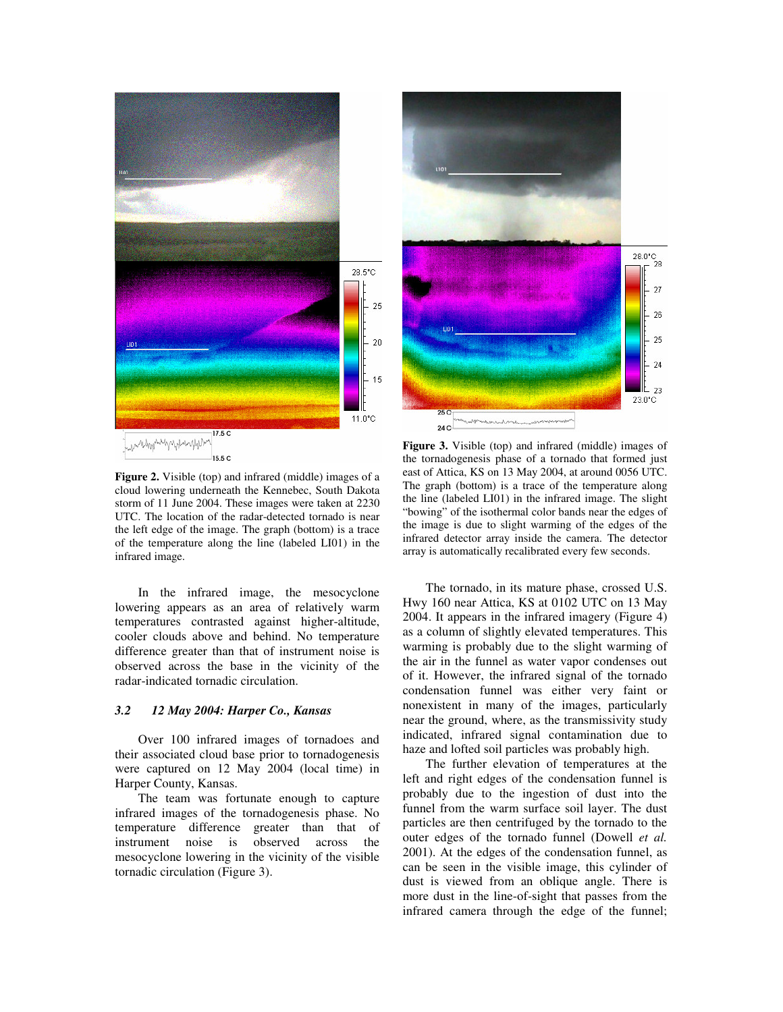



**Figure 2.** Visible (top) and infrared (middle) images of a cloud lowering underneath the Kennebec, South Dakota storm of 11 June 2004. These images were taken at 2230 UTC. The location of the radar-detected tornado is near the left edge of the image. The graph (bottom) is a trace of the temperature along the line (labeled LI01) in the infrared image.

In the infrared image, the mesocyclone lowering appears as an area of relatively warm temperatures contrasted against higher-altitude, cooler clouds above and behind. No temperature difference greater than that of instrument noise is observed across the base in the vicinity of the radar-indicated tornadic circulation.

#### *3.2 12 May 2004: Harper Co., Kansas*

Over 100 infrared images of tornadoes and their associated cloud base prior to tornadogenesis were captured on 12 May 2004 (local time) in Harper County, Kansas.

The team was fortunate enough to capture infrared images of the tornadogenesis phase. No temperature difference greater than that of instrument noise is observed across the instrument noise is observed across the mesocyclone lowering in the vicinity of the visible tornadic circulation (Figure 3).

**Figure 3.** Visible (top) and infrared (middle) images of the tornadogenesis phase of a tornado that formed just east of Attica, KS on 13 May 2004, at around 0056 UTC. The graph (bottom) is a trace of the temperature along the line (labeled LI01) in the infrared image. The slight "bowing" of the isothermal color bands near the edges of the image is due to slight warming of the edges of the infrared detector array inside the camera. The detector array is automatically recalibrated every few seconds.

The tornado, in its mature phase, crossed U.S. Hwy 160 near Attica, KS at 0102 UTC on 13 May 2004. It appears in the infrared imagery (Figure 4) as a column of slightly elevated temperatures. This warming is probably due to the slight warming of the air in the funnel as water vapor condenses out of it. However, the infrared signal of the tornado condensation funnel was either very faint or nonexistent in many of the images, particularly near the ground, where, as the transmissivity study indicated, infrared signal contamination due to haze and lofted soil particles was probably high.

The further elevation of temperatures at the left and right edges of the condensation funnel is probably due to the ingestion of dust into the funnel from the warm surface soil layer. The dust particles are then centrifuged by the tornado to the outer edges of the tornado funnel (Dowell *et al.* 2001). At the edges of the condensation funnel, as can be seen in the visible image, this cylinder of dust is viewed from an oblique angle. There is more dust in the line-of-sight that passes from the infrared camera through the edge of the funnel;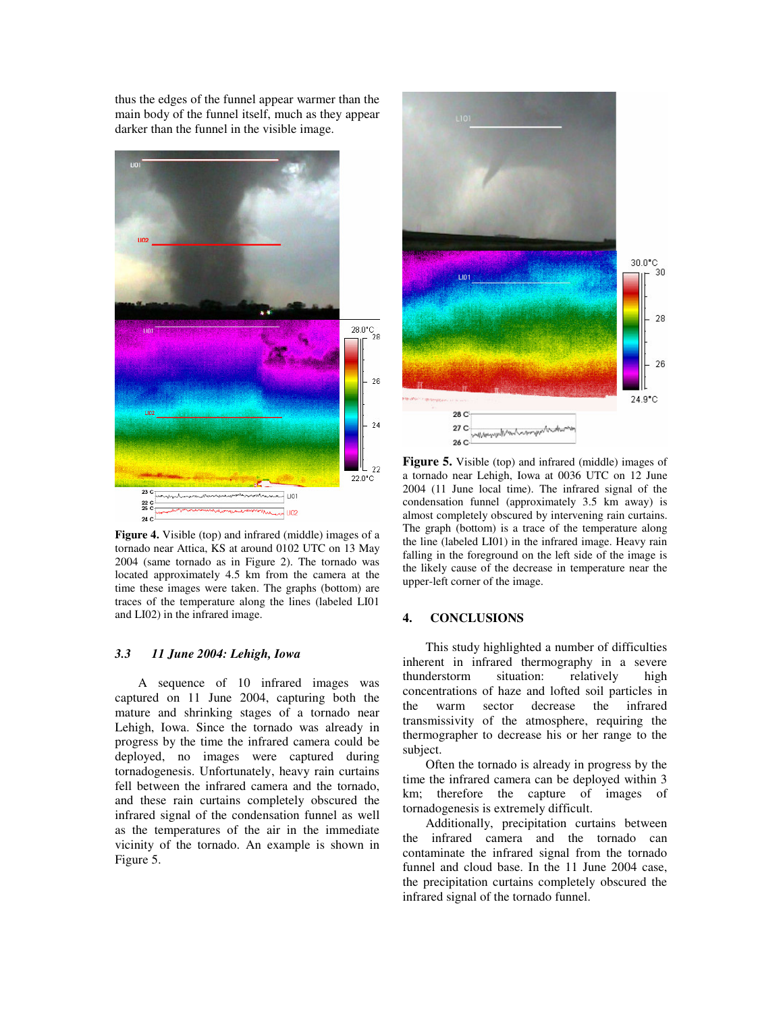thus the edges of the funnel appear warmer than the main body of the funnel itself, much as they appear darker than the funnel in the visible image.



**Figure 4.** Visible (top) and infrared (middle) images of a tornado near Attica, KS at around 0102 UTC on 13 May 2004 (same tornado as in Figure 2). The tornado was located approximately 4.5 km from the camera at the time these images were taken. The graphs (bottom) are traces of the temperature along the lines (labeled LI01 and LI02) in the infrared image.

## *3.3 11 June 2004: Lehigh, Iowa*

A sequence of 10 infrared images was captured on 11 June 2004, capturing both the mature and shrinking stages of a tornado near Lehigh, Iowa. Since the tornado was already in progress by the time the infrared camera could be deployed, no images were captured during tornadogenesis. Unfortunately, heavy rain curtains fell between the infrared camera and the tornado, and these rain curtains completely obscured the infrared signal of the condensation funnel as well as the temperatures of the air in the immediate vicinity of the tornado. An example is shown in Figure 5.



**Figure 5.** Visible (top) and infrared (middle) images of a tornado near Lehigh, Iowa at 0036 UTC on 12 June 2004 (11 June local time). The infrared signal of the condensation funnel (approximately 3.5 km away) is almost completely obscured by intervening rain curtains. The graph (bottom) is a trace of the temperature along the line (labeled LI01) in the infrared image. Heavy rain falling in the foreground on the left side of the image is the likely cause of the decrease in temperature near the upper-left corner of the image.

## **4. CONCLUSIONS**

This study highlighted a number of difficulties inherent in infrared thermography in a severe thunderstorm situation: relatively high concentrations of haze and lofted soil particles in the warm sector decrease the infrared transmissivity of the atmosphere, requiring the thermographer to decrease his or her range to the subject.

Often the tornado is already in progress by the time the infrared camera can be deployed within 3 km; therefore the capture of images of tornadogenesis is extremely difficult.

Additionally, precipitation curtains between the infrared camera and the tornado can contaminate the infrared signal from the tornado funnel and cloud base. In the 11 June 2004 case, the precipitation curtains completely obscured the infrared signal of the tornado funnel.